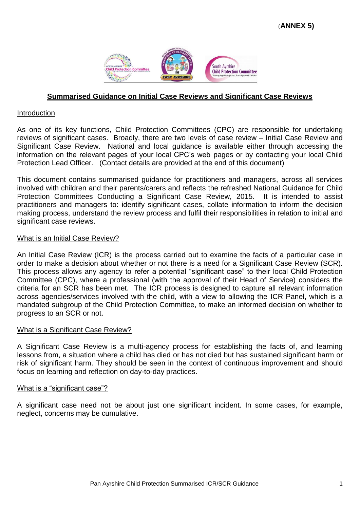

### **Summarised Guidance on Initial Case Reviews and Significant Case Reviews**

### Introduction

As one of its key functions, Child Protection Committees (CPC) are responsible for undertaking reviews of significant cases. Broadly, there are two levels of case review – Initial Case Review and Significant Case Review. National and local guidance is available either through accessing the information on the relevant pages of your local CPC's web pages or by contacting your local Child Protection Lead Officer. (Contact details are provided at the end of this document)

This document contains summarised guidance for practitioners and managers, across all services involved with children and their parents/carers and reflects the refreshed National Guidance for Child Protection Committees Conducting a Significant Case Review, 2015. It is intended to assist practitioners and managers to: identify significant cases, collate information to inform the decision making process, understand the review process and fulfil their responsibilities in relation to initial and significant case reviews.

### What is an Initial Case Review?

An Initial Case Review (ICR) is the process carried out to examine the facts of a particular case in order to make a decision about whether or not there is a need for a Significant Case Review (SCR). This process allows any agency to refer a potential "significant case" to their local Child Protection Committee (CPC), where a professional (with the approval of their Head of Service) considers the criteria for an SCR has been met. The ICR process is designed to capture all relevant information across agencies/services involved with the child, with a view to allowing the ICR Panel, which is a mandated subgroup of the Child Protection Committee, to make an informed decision on whether to progress to an SCR or not.

### What is a Significant Case Review?

A Significant Case Review is a multi-agency process for establishing the facts of, and learning lessons from, a situation where a child has died or has not died but has sustained significant harm or risk of significant harm. They should be seen in the context of continuous improvement and should focus on learning and reflection on day-to-day practices.

### What is a "significant case"?

A significant case need not be about just one significant incident. In some cases, for example, neglect, concerns may be cumulative.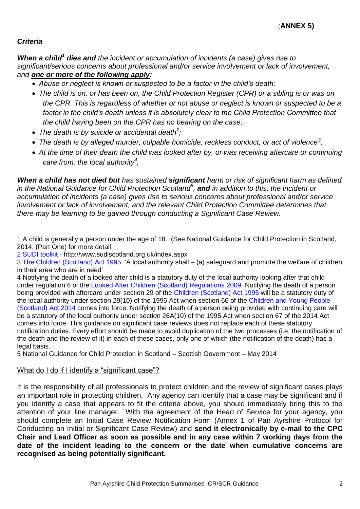# *Criteria*

*When a child<sup>1</sup> dies and the incident or accumulation of incidents (a case) gives rise to significant/serious concerns about professional and/or service involvement or lack of involvement, and one or more of the following apply:*

- *Abuse or neglect is known or suspected to be a factor in the child's death;*
- *The child is on, or has been on, the Child Protection Register (CPR) or a sibling is or was on the CPR. This is regardless of whether or not abuse or neglect is known or suspected to be a*  factor in the child's death unless it is absolutely clear to the Child Protection Committee that *the child having been on the CPR has no bearing on the case;*
- *The death is by suicide or accidental death<sup>2</sup> ;*
- *The death is by alleged murder, culpable homicide, reckless conduct, or act of violence<sup>3</sup> ;*
- *At the time of their death the child was looked after by, or was receiving aftercare or continuing care from, the local authority<sup>4</sup> ,*

*When a child has not died but has sustained significant harm or risk of significant harm as defined in the National Guidance for Child Protection Scotland 5 , and in addition to this, the incident or accumulation of incidents (a case) gives rise to serious concerns about professional and/or service involvement or lack of involvement, and the relevant Child Protection Committee determines that there may be learning to be gained through conducting a Significant Case Review.*

1 A child is generally a person under the age of 18. (See National Guidance for Child Protection in Scotland, 2014, (Part One) for more detail.

2 SUDI toolkit - http://www.sudiscotland.org.uk/index.aspx

3 The Children (Scotland) Act 1995: 'A local authority shall – (a) safeguard and promote the welfare of children in their area who are in need'

4 Notifying the death of a looked after child is a statutory duty of the local authority looking after that child under regulation 6 of the Looked After Children (Scotland) Regulations 2009. Notifying the death of a person being provided with aftercare under section 29 of the Children (Scotland) Act 1995 will be a statutory duty of the local authority under section 29(10) of the 1995 Act when section 66 of the Children and Young People (Scotland) Act 2014 comes into force. Notifying the death of a person being provided with continuing care will be a statutory of the local authority under section 26A(10) of the 1995 Act when section 67 of the 2014 Act comes into force. This guidance on significant case reviews does not replace each of these statutory notification duties. Every effort should be made to avoid duplication of the two processes (i.e. the notification of the death and the review of it) in each of these cases, only one of which (the notification of the death) has a legal basis.

5 National Guidance for Child Protection in Scotland – Scottish Government – May 2014

## What do I do if I identify a "significant case"?

It is the responsibility of all professionals to protect children and the review of significant cases plays an important role in protecting children. Any agency can identify that a case may be significant and if you identify a case that appears to fit the criteria above, you should immediately bring this to the attention of your line manager. With the agreement of the Head of Service for your agency, you should complete an Initial Case Review Notification Form (Annex 1 of Pan Ayrshire Protocol for Conducting an Initial or Significant Case Review) and **send it electronically by e-mail to the CPC Chair and Lead Officer as soon as possible and in any case within 7 working days from the date of the incident leading to the concern or the date when cumulative concerns are recognised as being potentially significant.**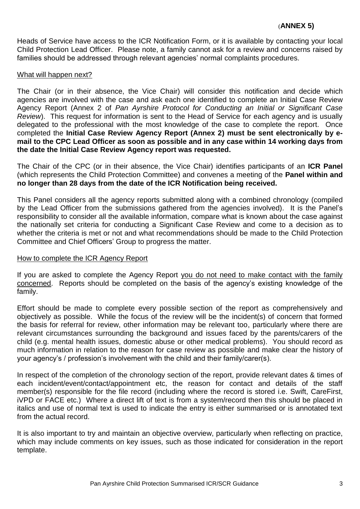Heads of Service have access to the ICR Notification Form, or it is available by contacting your local Child Protection Lead Officer. Please note, a family cannot ask for a review and concerns raised by families should be addressed through relevant agencies' normal complaints procedures.

### What will happen next?

The Chair (or in their absence, the Vice Chair) will consider this notification and decide which agencies are involved with the case and ask each one identified to complete an Initial Case Review Agency Report (Annex 2 of *Pan Ayrshire Protocol for Conducting an Initial or Significant Case Review*). This request for information is sent to the Head of Service for each agency and is usually delegated to the professional with the most knowledge of the case to complete the report. Once completed the **Initial Case Review Agency Report (Annex 2) must be sent electronically by email to the CPC Lead Officer as soon as possible and in any case within 14 working days from the date the Initial Case Review Agency report was requested.**

The Chair of the CPC (or in their absence, the Vice Chair) identifies participants of an **ICR Panel** (which represents the Child Protection Committee) and convenes a meeting of the **Panel within and no longer than 28 days from the date of the ICR Notification being received.**

This Panel considers all the agency reports submitted along with a combined chronology (compiled by the Lead Officer from the submissions gathered from the agencies involved). It is the Panel's responsibility to consider all the available information, compare what is known about the case against the nationally set criteria for conducting a Significant Case Review and come to a decision as to whether the criteria is met or not and what recommendations should be made to the Child Protection Committee and Chief Officers' Group to progress the matter.

### How to complete the ICR Agency Report

If you are asked to complete the Agency Report you do not need to make contact with the family concerned. Reports should be completed on the basis of the agency's existing knowledge of the family.

Effort should be made to complete every possible section of the report as comprehensively and objectively as possible. While the focus of the review will be the incident(s) of concern that formed the basis for referral for review, other information may be relevant too, particularly where there are relevant circumstances surrounding the background and issues faced by the parents/carers of the child (e.g. mental health issues, domestic abuse or other medical problems). You should record as much information in relation to the reason for case review as possible and make clear the history of your agency's / profession's involvement with the child and their family/carer(s).

In respect of the completion of the chronology section of the report, provide relevant dates & times of each incident/event/contact/appointment etc, the reason for contact and details of the staff member(s) responsible for the file record (including where the record is stored i.e. Swift, CareFirst, iVPD or FACE etc.) Where a direct lift of text is from a system/record then this should be placed in italics and use of normal text is used to indicate the entry is either summarised or is annotated text from the actual record.

It is also important to try and maintain an objective overview, particularly when reflecting on practice, which may include comments on key issues, such as those indicated for consideration in the report template.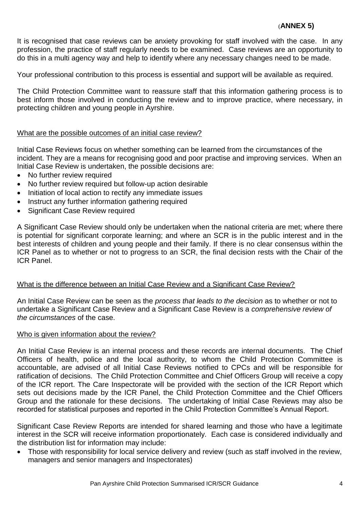## (**ANNEX 5)**

It is recognised that case reviews can be anxiety provoking for staff involved with the case. In any profession, the practice of staff regularly needs to be examined. Case reviews are an opportunity to do this in a multi agency way and help to identify where any necessary changes need to be made.

Your professional contribution to this process is essential and support will be available as required.

The Child Protection Committee want to reassure staff that this information gathering process is to best inform those involved in conducting the review and to improve practice, where necessary, in protecting children and young people in Ayrshire.

### What are the possible outcomes of an initial case review?

Initial Case Reviews focus on whether something can be learned from the circumstances of the incident. They are a means for recognising good and poor practise and improving services. When an Initial Case Review is undertaken, the possible decisions are:

- No further review required
- No further review required but follow-up action desirable
- Initiation of local action to rectify any immediate issues
- Instruct any further information gathering required
- Significant Case Review required

A Significant Case Review should only be undertaken when the national criteria are met; where there is potential for significant corporate learning; and where an SCR is in the public interest and in the best interests of children and young people and their family. If there is no clear consensus within the ICR Panel as to whether or not to progress to an SCR, the final decision rests with the Chair of the ICR Panel.

## What is the difference between an Initial Case Review and a Significant Case Review?

An Initial Case Review can be seen as the *process that leads to the decision* as to whether or not to undertake a Significant Case Review and a Significant Case Review is a *comprehensive review of the circumstances* of the case.

### Who is given information about the review?

An Initial Case Review is an internal process and these records are internal documents. The Chief Officers of health, police and the local authority, to whom the Child Protection Committee is accountable, are advised of all Initial Case Reviews notified to CPCs and will be responsible for ratification of decisions. The Child Protection Committee and Chief Officers Group will receive a copy of the ICR report. The Care Inspectorate will be provided with the section of the ICR Report which sets out decisions made by the ICR Panel, the Child Protection Committee and the Chief Officers Group and the rationale for these decisions. The undertaking of Initial Case Reviews may also be recorded for statistical purposes and reported in the Child Protection Committee's Annual Report.

Significant Case Review Reports are intended for shared learning and those who have a legitimate interest in the SCR will receive information proportionately. Each case is considered individually and the distribution list for information may include:

 Those with responsibility for local service delivery and review (such as staff involved in the review, managers and senior managers and Inspectorates)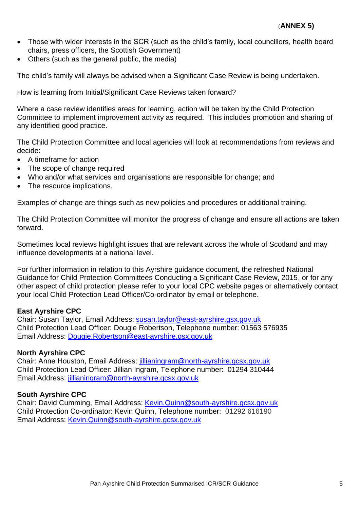- Those with wider interests in the SCR (such as the child's family, local councillors, health board chairs, press officers, the Scottish Government)
- Others (such as the general public, the media)

The child's family will always be advised when a Significant Case Review is being undertaken.

## How is learning from Initial/Significant Case Reviews taken forward?

Where a case review identifies areas for learning, action will be taken by the Child Protection Committee to implement improvement activity as required. This includes promotion and sharing of any identified good practice.

The Child Protection Committee and local agencies will look at recommendations from reviews and decide:

- A timeframe for action
- The scope of change required
- Who and/or what services and organisations are responsible for change; and
- The resource implications.

Examples of change are things such as new policies and procedures or additional training.

The Child Protection Committee will monitor the progress of change and ensure all actions are taken forward.

Sometimes local reviews highlight issues that are relevant across the whole of Scotland and may influence developments at a national level.

For further information in relation to this Ayrshire guidance document, the refreshed National Guidance for Child Protection Committees Conducting a Significant Case Review, 2015, or for any other aspect of child protection please refer to your local CPC website pages or alternatively contact your local Child Protection Lead Officer/Co-ordinator by email or telephone.

## **East Ayrshire CPC**

Chair: Susan Taylor, Email Address: [susan.taylor@east-ayrshire.gsx.gov.uk](file:///C:/Users/ROBERTSOND2/AppData/Local/Microsoft/Windows/Temporary%20Internet%20Files/Content.Outlook/AppData/Local/Temp/notesC9812B/susan.taylor@east-ayrshire.gsx.gov.uk) Child Protection Lead Officer: Dougie Robertson, Telephone number: 01563 576935 Email Address: [Dougie.Robertson@east-ayrshire.gsx.gov.uk](mailto:Dougie.Robertson@east-ayrshire.gsx.gov.uk)

## **North Ayrshire CPC**

Chair: Anne Houston, Email Address: [jillianingram@north-ayrshire.gcsx.gov.uk](mailto:jillianingram@north-ayrshire.gcsx.gov.uk) Child Protection Lead Officer: Jillian Ingram, Telephone number: 01294 310444 Email Address: [jillianingram@north-ayrshire.gcsx.gov.uk](mailto:jillianingram@north-ayrshire.gcsx.gov.uk)

## **South Ayrshire CPC**

Chair: David Cumming, Email Address: [Kevin.Quinn@south-ayrshire.gcsx.gov.uk](mailto:Kevin.Quinn@south-ayrshire.gcsx.gov.uk) Child Protection Co-ordinator: Kevin Quinn, Telephone number: 01292 616190 Email Address: [Kevin.Quinn@south-ayrshire.gcsx.gov.uk](mailto:Kevin.Quinn@south-ayrshire.gcsx.gov.uk)